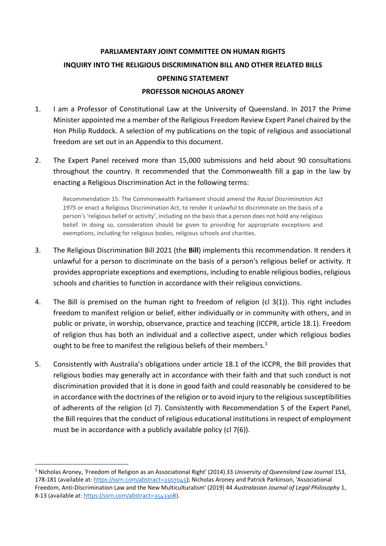## **PARLIAMENTARY JOINT COMMITTEE ON HUMAN RIGHTS INQUIRY INTO THE RELIGIOUS DISCRIMINATION BILL AND OTHER RELATED BILLS OPENING STATEMENT PROFESSOR NICHOLAS ARONEY**

- 1. I am a Professor of Constitutional Law at the University of Queensland. In 2017 the Prime Minister appointed me a member of the Religious Freedom Review Expert Panel chaired by the Hon Philip Ruddock. A selection of my publications on the topic of religious and associational freedom are set out in an Appendix to this document.
- 2. The Expert Panel received more than 15,000 submissions and held about 90 consultations throughout the country. It recommended that the Commonwealth fill a gap in the law by enacting a Religious Discrimination Act in the following terms:

Recommendation 15: The Commonwealth Parliament should amend the *Racial Discrimination Act 1975* or enact a Religious Discrimination Act, to render it unlawful to discriminate on the basis of a person's 'religious belief or activity', including on the basis that a person does not hold any religious belief. In doing so, consideration should be given to providing for appropriate exceptions and exemptions, including for religious bodies, religious schools and charities.

- 3. The Religious Discrimination Bill 2021 (the **Bill**) implements this recommendation. It renders it unlawful for a person to discriminate on the basis of a person's religious belief or activity. It provides appropriate exceptions and exemptions, including to enable religious bodies, religious schools and charities to function in accordance with their religious convictions.
- 4. The Bill is premised on the human right to freedom of religion (cl 3(1)). This right includes freedom to manifest religion or belief, either individually or in community with others, and in public or private, in worship, observance, practice and teaching (ICCPR, article 18.1). Freedom of religion thus has both an individual and a collective aspect, under which religious bodies ought to be free to manifest the religious beliefs of their members.<sup>1</sup>
- 5. Consistently with Australia's obligations under article 18.1 of the ICCPR, the Bill provides that religious bodies may generally act in accordance with their faith and that such conduct is not discrimination provided that it is done in good faith and could reasonably be considered to be in accordance with the doctrines of the religion or to avoid injury to the religious susceptibilities of adherents of the religion (cl 7). Consistently with Recommendation 5 of the Expert Panel, the Bill requires that the conduct of religious educational institutions in respect of employment must be in accordance with a publicly available policy (cl 7(6)).

<sup>1</sup> Nicholas Aroney, 'Freedom of Religion as an Associational Right' (2014) 33 *University of Queensland Law Journal* 153, 178-181 (available at: <https://ssrn.com/abstract=2507045>); Nicholas Aroney and Patrick Parkinson, 'Associational Freedom, Anti-Discrimination Law and the New Multiculturalism' (2019) 44 *Australasian Journal of Legal Philosophy* 1, 8-13 (available at[: https://ssrn.com/abstract=3543308\)](https://ssrn.com/abstract=3543308).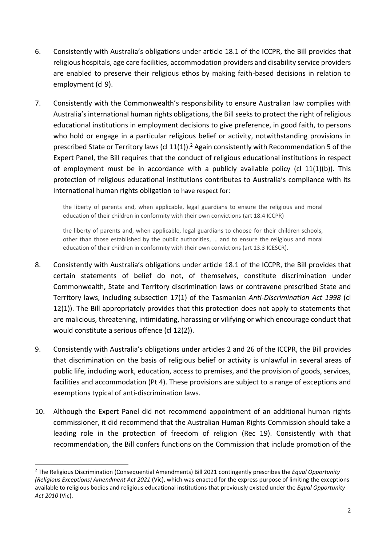- 6. Consistently with Australia's obligations under article 18.1 of the ICCPR, the Bill provides that religious hospitals, age care facilities, accommodation providers and disability service providers are enabled to preserve their religious ethos by making faith-based decisions in relation to employment (cl 9).
- 7. Consistently with the Commonwealth's responsibility to ensure Australian law complies with Australia's international human rights obligations, the Bill seeks to protect the right of religious educational institutions in employment decisions to give preference, in good faith, to persons who hold or engage in a particular religious belief or activity, notwithstanding provisions in prescribed State or Territory laws (cl  $11(1)$ ).<sup>2</sup> Again consistently with Recommendation 5 of the Expert Panel, the Bill requires that the conduct of religious educational institutions in respect of employment must be in accordance with a publicly available policy (cl  $11(1)(b)$ ). This protection of religious educational institutions contributes to Australia's compliance with its international human rights obligation to have respect for:

the liberty of parents and, when applicable, legal guardians to ensure the religious and moral education of their children in conformity with their own convictions (art 18.4 ICCPR)

the liberty of parents and, when applicable, legal guardians to choose for their children schools, other than those established by the public authorities, … and to ensure the religious and moral education of their children in conformity with their own convictions (art 13.3 ICESCR).

- 8. Consistently with Australia's obligations under article 18.1 of the ICCPR, the Bill provides that certain statements of belief do not, of themselves, constitute discrimination under Commonwealth, State and Territory discrimination laws or contravene prescribed State and Territory laws, including subsection 17(1) of the Tasmanian *Anti-Discrimination Act 1998* (cl 12(1)). The Bill appropriately provides that this protection does not apply to statements that are malicious, threatening, intimidating, harassing or vilifying or which encourage conduct that would constitute a serious offence (cl 12(2)).
- 9. Consistently with Australia's obligations under articles 2 and 26 of the ICCPR, the Bill provides that discrimination on the basis of religious belief or activity is unlawful in several areas of public life, including work, education, access to premises, and the provision of goods, services, facilities and accommodation (Pt 4). These provisions are subject to a range of exceptions and exemptions typical of anti-discrimination laws.
- 10. Although the Expert Panel did not recommend appointment of an additional human rights commissioner, it did recommend that the Australian Human Rights Commission should take a leading role in the protection of freedom of religion (Rec 19). Consistently with that recommendation, the Bill confers functions on the Commission that include promotion of the

<sup>2</sup> The Religious Discrimination (Consequential Amendments) Bill 2021 contingently prescribes the *Equal Opportunity (Religious Exceptions) Amendment Act 2021* (Vic), which was enacted for the express purpose of limiting the exceptions available to religious bodies and religious educational institutions that previously existed under the *Equal Opportunity Act 2010* (Vic).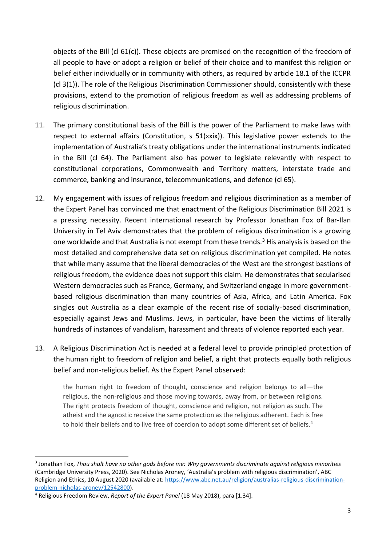objects of the Bill (cl 61(c)). These objects are premised on the recognition of the freedom of all people to have or adopt a religion or belief of their choice and to manifest this religion or belief either individually or in community with others, as required by article 18.1 of the ICCPR (cl 3(1)). The role of the Religious Discrimination Commissioner should, consistently with these provisions, extend to the promotion of religious freedom as well as addressing problems of religious discrimination.

- 11. The primary constitutional basis of the Bill is the power of the Parliament to make laws with respect to external affairs (Constitution, s 51(xxix)). This legislative power extends to the implementation of Australia's treaty obligations under the international instruments indicated in the Bill (cl 64). The Parliament also has power to legislate relevantly with respect to constitutional corporations, Commonwealth and Territory matters, interstate trade and commerce, banking and insurance, telecommunications, and defence (cl 65).
- 12. My engagement with issues of religious freedom and religious discrimination as a member of the Expert Panel has convinced me that enactment of the Religious Discrimination Bill 2021 is a pressing necessity. Recent international research by Professor Jonathan Fox of Bar-Ilan University in Tel Aviv demonstrates that the problem of religious discrimination is a growing one worldwide and that Australia is not exempt from these trends.<sup>3</sup> His analysis is based on the most detailed and comprehensive data set on religious discrimination yet compiled. He notes that while many assume that the liberal democracies of the West are the strongest bastions of religious freedom, the evidence does not support this claim. He demonstrates that secularised Western democracies such as France, Germany, and Switzerland engage in more governmentbased religious discrimination than many countries of Asia, Africa, and Latin America. Fox singles out Australia as a clear example of the recent rise of socially-based discrimination, especially against Jews and Muslims. Jews, in particular, have been the victims of literally hundreds of instances of vandalism, harassment and threats of violence reported each year.
- 13. A Religious Discrimination Act is needed at a federal level to provide principled protection of the human right to freedom of religion and belief, a right that protects equally both religious belief and non-religious belief. As the Expert Panel observed:

the human right to freedom of thought, conscience and religion belongs to all—the religious, the non-religious and those moving towards, away from, or between religions. The right protects freedom of thought, conscience and religion, not religion as such. The atheist and the agnostic receive the same protection as the religious adherent. Each is free to hold their beliefs and to live free of coercion to adopt some different set of beliefs.<sup>4</sup>

<sup>3</sup> Jonathan Fox, *Thou shalt have no other gods before me: Why governments discriminate against religious minorities* (Cambridge University Press, 2020). See Nicholas Aroney, 'Australia's problem with religious discrimination', ABC Religion and Ethics, 10 August 2020 (available at: [https://www.abc.net.au/religion/australias-religious-discrimination](https://www.abc.net.au/religion/australias-religious-discrimination-problem-nicholas-aroney/12542800)[problem-nicholas-aroney/12542800\)](https://www.abc.net.au/religion/australias-religious-discrimination-problem-nicholas-aroney/12542800).

<sup>4</sup> Religious Freedom Review, *Report of the Expert Panel* (18 May 2018), para [1.34].